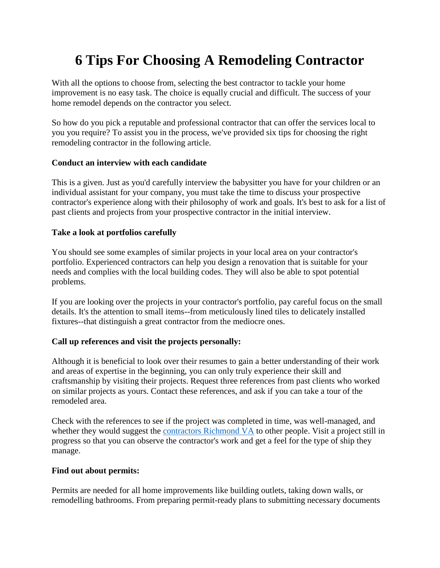# **6 Tips For Choosing A Remodeling Contractor**

With all the options to choose from, selecting the best contractor to tackle your home improvement is no easy task. The choice is equally crucial and difficult. The success of your home remodel depends on the contractor you select.

So how do you pick a reputable and professional contractor that can offer the services local to you you require? To assist you in the process, we've provided six tips for choosing the right remodeling contractor in the following article.

### **Conduct an interview with each candidate**

This is a given. Just as you'd carefully interview the babysitter you have for your children or an individual assistant for your company, you must take the time to discuss your prospective contractor's experience along with their philosophy of work and goals. It's best to ask for a list of past clients and projects from your prospective contractor in the initial interview.

### **Take a look at portfolios carefully**

You should see some examples of similar projects in your local area on your contractor's portfolio. Experienced contractors can help you design a renovation that is suitable for your needs and complies with the local building codes. They will also be able to spot potential problems.

If you are looking over the projects in your contractor's portfolio, pay careful focus on the small details. It's the attention to small items--from meticulously lined tiles to delicately installed fixtures--that distinguish a great contractor from the mediocre ones.

### **Call up references and visit the projects personally:**

Although it is beneficial to look over their resumes to gain a better understanding of their work and areas of expertise in the beginning, you can only truly experience their skill and craftsmanship by visiting their projects. Request three references from past clients who worked on similar projects as yours. Contact these references, and ask if you can take a tour of the remodeled area.

Check with the references to see if the project was completed in time, was well-managed, and whether they would suggest the [contractors Richmond VA](https://www.richmondremodelingco.com/) to other people. Visit a project still in progress so that you can observe the contractor's work and get a feel for the type of ship they manage.

### **Find out about permits:**

Permits are needed for all home improvements like building outlets, taking down walls, or remodelling bathrooms. From preparing permit-ready plans to submitting necessary documents